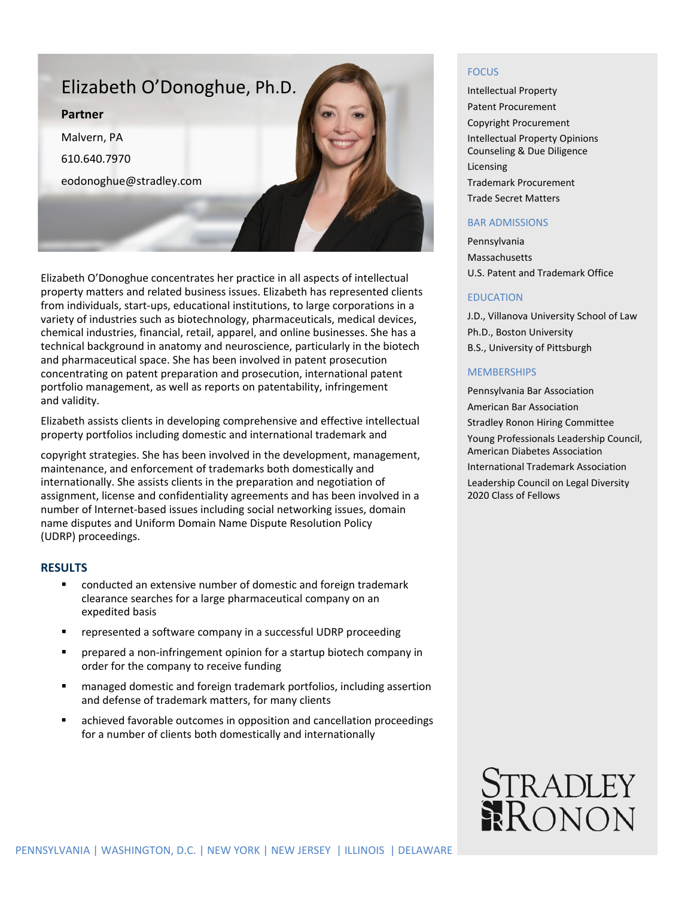

Elizabeth O'Donoghue concentrates her practice in all aspects of intellectual property matters and related business issues. Elizabeth has represented clients from individuals, start-ups, educational institutions, to large corporations in a variety of industries such as biotechnology, pharmaceuticals, medical devices, chemical industries, financial, retail, apparel, and online businesses. She has a technical background in anatomy and neuroscience, particularly in the biotech and pharmaceutical space. She has been involved in patent prosecution concentrating on patent preparation and prosecution, international patent portfolio management, as well as reports on patentability, infringement and validity.

Elizabeth assists clients in developing comprehensive and effective intellectual property portfolios including domestic and international trademark and

copyright strategies. She has been involved in the development, management, maintenance, and enforcement of trademarks both domestically and internationally. She assists clients in the preparation and negotiation of assignment, license and confidentiality agreements and has been involved in a number of Internet-based issues including social networking issues, domain name disputes and Uniform Domain Name Dispute Resolution Policy (UDRP) proceedings.

## **RESULTS**

- conducted an extensive number of domestic and foreign trademark clearance searches for a large pharmaceutical company on an expedited basis
- represented a software company in a successful UDRP proceeding
- prepared a non-infringement opinion for a startup biotech company in order for the company to receive funding
- managed domestic and foreign trademark portfolios, including assertion and defense of trademark matters, for many clients
- achieved favorable outcomes in opposition and cancellation proceedings for a number of clients both domestically and internationally

### **FOCUS**

Intellectual Property Patent Procurement Copyright Procurement Intellectual Property Opinions Counseling & Due Diligence Licensing Trademark Procurement Trade Secret Matters

## BAR ADMISSIONS

Pennsylvania Massachusetts U.S. Patent and Trademark Office

#### EDUCATION

J.D., Villanova University School of Law Ph.D., Boston University B.S., University of Pittsburgh

### **MEMBERSHIPS**

Pennsylvania Bar Association American Bar Association Stradley Ronon Hiring Committee Young Professionals Leadership Council, American Diabetes Association International Trademark Association Leadership Council on Legal Diversity 2020 Class of Fellows